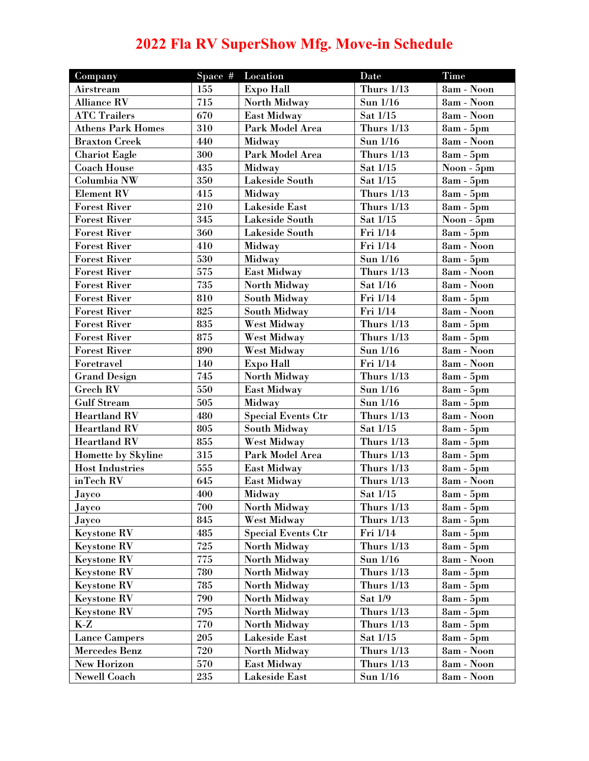## **2022 Fla RV SuperShow Mfg. Move-in Schedule**

| Company                  | Space # | Location                  | <b>Date</b>       | <b>Time</b> |
|--------------------------|---------|---------------------------|-------------------|-------------|
| Airstream                | 155     | <b>Expo Hall</b>          | <b>Thurs 1/13</b> | 8am - Noon  |
| <b>Alliance RV</b>       | 715     | North Midway              | Sun 1/16          | 8am - Noon  |
| <b>ATC Trailers</b>      | 670     | East Midway               | Sat 1/15          | 8am - Noon  |
| <b>Athens Park Homes</b> | 310     | Park Model Area           | <b>Thurs 1/13</b> | $8am - 5pm$ |
| <b>Braxton Creek</b>     | 440     | Midway                    | Sun 1/16          | 8am - Noon  |
| <b>Chariot Eagle</b>     | 300     | Park Model Area           | <b>Thurs 1/13</b> | 8am - 5pm   |
| <b>Coach House</b>       | 435     | Midway                    | Sat 1/15          | Noon - 5pm  |
| Columbia NW              | 350     | Lakeside South            | Sat 1/15          | 8am - 5pm   |
| <b>Element RV</b>        | 415     | Midway                    | <b>Thurs 1/13</b> | $8am - 5pm$ |
| <b>Forest River</b>      | 210     | <b>Lakeside East</b>      | <b>Thurs 1/13</b> | $8am - 5pm$ |
| <b>Forest River</b>      | 345     | Lakeside South            | Sat 1/15          | Noon - 5pm  |
| <b>Forest River</b>      | 360     | Lakeside South            | Fri 1/14          | 8am - 5pm   |
| <b>Forest River</b>      | 410     | Midway                    | Fri 1/14          | 8am - Noon  |
| <b>Forest River</b>      | 530     | Midway                    | Sun 1/16          | 8am - 5pm   |
| <b>Forest River</b>      | 575     | <b>East Midway</b>        | <b>Thurs 1/13</b> | 8am - Noon  |
| <b>Forest River</b>      | 735     | North Midway              | Sat 1/16          | 8am - Noon  |
| <b>Forest River</b>      | 810     | <b>South Midway</b>       | Fri 1/14          | 8am - 5pm   |
| <b>Forest River</b>      | 825     | South Midway              | Fri 1/14          | 8am - Noon  |
| <b>Forest River</b>      | 835     | <b>West Midway</b>        | <b>Thurs 1/13</b> | 8am - 5pm   |
| <b>Forest River</b>      | 875     | West Midway               | <b>Thurs 1/13</b> | $8am - 5pm$ |
| <b>Forest River</b>      | 890     | West Midway               | Sun 1/16          | 8am - Noon  |
| Foretravel               | 140     | <b>Expo Hall</b>          | Fri 1/14          | 8am - Noon  |
| <b>Grand Design</b>      | 745     | North Midway              | <b>Thurs 1/13</b> | $8am - 5pm$ |
| <b>Grech RV</b>          | 550     | East Midway               | Sun 1/16          | $8am - 5pm$ |
| <b>Gulf Stream</b>       | 505     | Midway                    | Sun 1/16          | $8am - 5pm$ |
| <b>Heartland RV</b>      | 480     | <b>Special Events Ctr</b> | <b>Thurs 1/13</b> | 8am - Noon  |
| <b>Heartland RV</b>      | 805     | <b>South Midway</b>       | Sat 1/15          | 8am - 5pm   |
| <b>Heartland RV</b>      | 855     | West Midway               | <b>Thurs 1/13</b> | $8am - 5pm$ |
| Homette by Skyline       | 315     | Park Model Area           | <b>Thurs 1/13</b> | 8am - 5pm   |
| <b>Host Industries</b>   | 555     | East Midway               | <b>Thurs 1/13</b> | 8am - 5pm   |
| inTech RV                | 645     | East Midway               | <b>Thurs 1/13</b> | 8am - Noon  |
| Jayco                    | 400     | Midway                    | Sat 1/15          | 8am - 5pm   |
| Jayco                    | 700     | North Midway              | <b>Thurs 1/13</b> | 8am - 5pm   |
| Jayco                    | 845     | West Midway               | <b>Thurs 1/13</b> | $8am - 5pm$ |
| <b>Keystone RV</b>       | 485     | <b>Special Events Ctr</b> | Fri 1/14          | $8am - 5pm$ |
| <b>Keystone RV</b>       | 725     | North Midway              | <b>Thurs 1/13</b> | $8am - 5pm$ |
| <b>Keystone RV</b>       | 775     | North Midway              | Sun 1/16          | 8am - Noon  |
| <b>Keystone RV</b>       | 780     | North Midway              | <b>Thurs 1/13</b> | $8am - 5pm$ |
| <b>Keystone RV</b>       | 785     | North Midway              | <b>Thurs 1/13</b> | $8am - 5pm$ |
| <b>Keystone RV</b>       | 790     | North Midway              | Sat 1/9           | $8am - 5pm$ |
| <b>Keystone RV</b>       | 795     | North Midway              | <b>Thurs 1/13</b> | $8am - 5pm$ |
| $K-Z$                    | 770     | North Midway              | <b>Thurs 1/13</b> | $8am - 5pm$ |
| <b>Lance Campers</b>     | 205     | Lakeside East             | Sat 1/15          | 8am - 5pm   |
| Mercedes Benz            | 720     | North Midway              | <b>Thurs 1/13</b> | 8am - Noon  |
| <b>New Horizon</b>       | 570     | <b>East Midway</b>        | <b>Thurs 1/13</b> | 8am - Noon  |
| <b>Newell Coach</b>      | 235     | Lakeside East             | Sun 1/16          | 8am - Noon  |